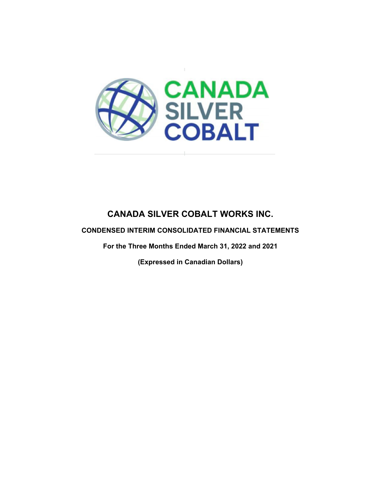

### **CONDENSED INTERIM CONSOLIDATED FINANCIAL STATEMENTS**

**For the Three Months Ended March 31, 2022 and 2021** 

**(Expressed in Canadian Dollars)**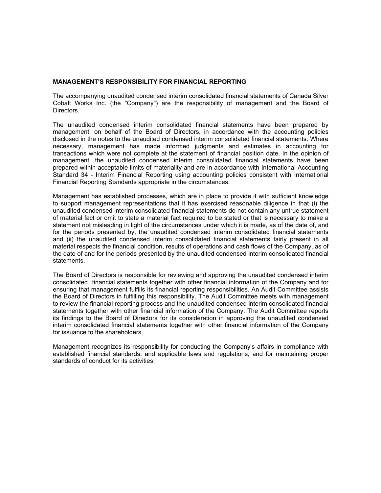#### **MANAGEMENT'S RESPONSIBILITY FOR FINANCIAL REPORTING**

The accompanying unaudited condensed interim consolidated financial statements of Canada Silver Cobalt Works Inc. (the "Company") are the responsibility of management and the Board of Directors.

The unaudited condensed interim consolidated financial statements have been prepared by management, on behalf of the Board of Directors, in accordance with the accounting policies disclosed in the notes to the unaudited condensed interim consolidated financial statements. Where necessary, management has made informed judgments and estimates in accounting for transactions which were not complete at the statement of financial position date. In the opinion of management, the unaudited condensed interim consolidated financial statements have been prepared within acceptable limits of materiality and are in accordance with International Accounting Standard 34 - Interim Financial Reporting using accounting policies consistent with International Financial Reporting Standards appropriate in the circumstances.

Management has established processes, which are in place to provide it with sufficient knowledge to support management representations that it has exercised reasonable diligence in that (i) the unaudited condensed interim consolidated financial statements do not contain any untrue statement of material fact or omit to state a material fact required to be stated or that is necessary to make a statement not misleading in light of the circumstances under which it is made, as of the date of, and for the periods presented by, the unaudited condensed interim consolidated financial statements and (ii) the unaudited condensed interim consolidated financial statements fairly present in all material respects the financial condition, results of operations and cash flows of the Company, as of the date of and for the periods presented by the unaudited condensed interim consolidated financial statements.

The Board of Directors is responsible for reviewing and approving the unaudited condensed interim consolidated financial statements together with other financial information of the Company and for ensuring that management fulfills its financial reporting responsibilities. An Audit Committee assists the Board of Directors in fulfilling this responsibility. The Audit Committee meets with management to review the financial reporting process and the unaudited condensed interim consolidated financial statements together with other financial information of the Company. The Audit Committee reports its findings to the Board of Directors for its consideration in approving the unaudited condensed interim consolidated financial statements together with other financial information of the Company for issuance to the shareholders.

Management recognizes its responsibility for conducting the Company's affairs in compliance with established financial standards, and applicable laws and regulations, and for maintaining proper standards of conduct for its activities.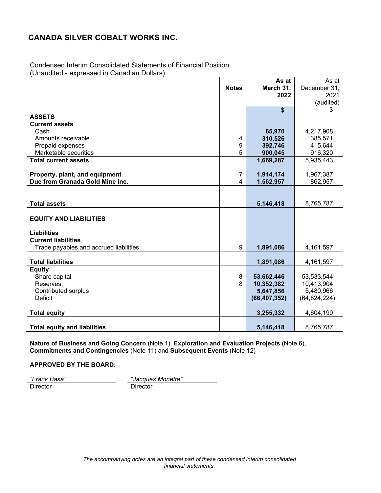Condensed Interim Consolidated Statements of Financial Position (Unaudited - expressed in Canadian Dollars)

|                                        |              | As at          | As at          |
|----------------------------------------|--------------|----------------|----------------|
|                                        | <b>Notes</b> | March 31,      | December 31,   |
|                                        |              | 2022           | 2021           |
|                                        |              |                | (audited)      |
|                                        |              | \$             | \$             |
| <b>ASSETS</b>                          |              |                |                |
| <b>Current assets</b>                  |              |                |                |
| Cash                                   |              | 65,970         | 4,217,908      |
| Amounts receivable                     | 4            | 310,526        | 385,571        |
| Prepaid expenses                       | 9            | 392,746        | 415,644        |
| Marketable securities                  | 5            | 900,045        | 916,320        |
| <b>Total current assets</b>            |              | 1,669,287      | 5,935,443      |
| Property, plant, and equipment         | 7            | 1,914,174      | 1,967,387      |
| Due from Granada Gold Mine Inc.        | 4            | 1,562,957      | 862,957        |
|                                        |              |                |                |
|                                        |              |                |                |
| <b>Total assets</b>                    |              | 5,146,418      | 8,765,787      |
|                                        |              |                |                |
| <b>EQUITY AND LIABILITIES</b>          |              |                |                |
| <b>Liabilities</b>                     |              |                |                |
| <b>Current liabilities</b>             |              |                |                |
| Trade payables and accrued liabilities | 9            | 1,891,086      | 4,161,597      |
|                                        |              |                |                |
| <b>Total liabilities</b>               |              | 1,891,086      | 4,161,597      |
| <b>Equity</b>                          |              |                |                |
| Share capital                          | 8            | 53,662,446     | 53,533,544     |
| <b>Reserves</b>                        | 8            | 10,352,382     | 10,413,904     |
| Contributed surplus                    |              | 5,647,856      | 5,480,966      |
| Deficit                                |              | (66, 407, 352) | (64, 824, 224) |
|                                        |              |                |                |
| <b>Total equity</b>                    |              | 3,255,332      | 4,604,190      |
| <b>Total equity and liabilities</b>    |              | 5,146,418      | 8,765,787      |

**Nature of Business and Going Concern** (Note 1), **Exploration and Evaluation Projects** (Note 6), **Commitments and Contingencies** (Note 11) and **Subsequent Events** (Note 12)

**APPROVED BY THE BOARD:** 

*"Frank Basa" "Jacques Monette"* 

Director Director Director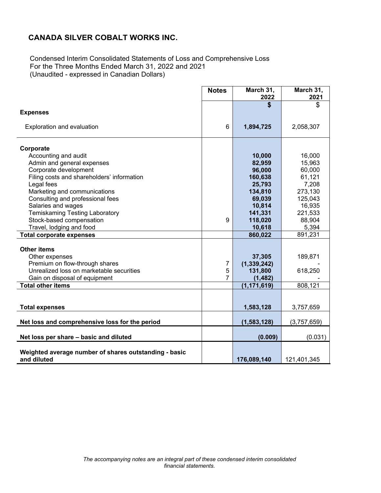Condensed Interim Consolidated Statements of Loss and Comprehensive Loss For the Three Months Ended March 31, 2022 and 2021 (Unaudited - expressed in Canadian Dollars)

|                                                                      | <b>Notes</b>   | March 31,<br>2022       | March 31,<br>2021 |
|----------------------------------------------------------------------|----------------|-------------------------|-------------------|
| <b>Expenses</b>                                                      |                | \$                      | \$                |
| Exploration and evaluation                                           | 6              | 1,894,725               | 2,058,307         |
| Corporate                                                            |                |                         |                   |
| Accounting and audit                                                 |                | 10,000                  | 16,000            |
| Admin and general expenses                                           |                | 82,959                  | 15,963            |
| Corporate development                                                |                | 96,000                  | 60,000            |
| Filing costs and shareholders' information                           |                | 160,638                 | 61,121            |
| Legal fees                                                           |                | 25,793                  | 7,208             |
| Marketing and communications                                         |                | 134,810                 | 273,130           |
| Consulting and professional fees                                     |                | 69,039                  | 125,043           |
| Salaries and wages                                                   |                | 10,814                  | 16,935            |
| <b>Temiskaming Testing Laboratory</b>                                |                | 141,331                 | 221,533           |
| Stock-based compensation                                             | 9              | 118,020                 | 88,904            |
| Travel, lodging and food                                             |                | 10,618                  | 5,394             |
| <b>Total corporate expenses</b>                                      |                | 860,022                 | 891,231           |
| <b>Other items</b>                                                   |                |                         |                   |
|                                                                      |                |                         | 189,871           |
| Other expenses<br>Premium on flow-through shares                     | 7              | 37,305<br>(1, 339, 242) |                   |
| Unrealized loss on marketable securities                             | 5              | 131,800                 | 618,250           |
| Gain on disposal of equipment                                        | $\overline{7}$ | (1, 482)                |                   |
| <b>Total other items</b>                                             |                | (1, 171, 619)           | 808, 121          |
|                                                                      |                |                         |                   |
|                                                                      |                |                         |                   |
| <b>Total expenses</b>                                                |                | 1,583,128               | 3,757,659         |
| Net loss and comprehensive loss for the period                       |                | (1,583,128)             | (3,757,659)       |
| Net loss per share - basic and diluted                               |                | (0.009)                 | (0.031)           |
|                                                                      |                |                         |                   |
| Weighted average number of shares outstanding - basic<br>and diluted |                | 176,089,140             | 121,401,345       |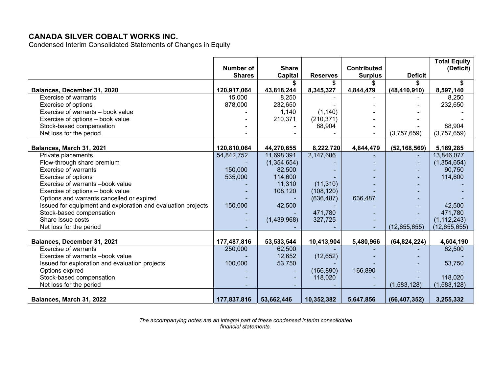Condensed Interim Consolidated Statements of Changes in Equity

|                                                              |               |              |                 |                    |                | <b>Total Equity</b> |
|--------------------------------------------------------------|---------------|--------------|-----------------|--------------------|----------------|---------------------|
|                                                              | Number of     | <b>Share</b> |                 | <b>Contributed</b> |                | (Deficit)           |
|                                                              | <b>Shares</b> | Capital      | <b>Reserves</b> | <b>Surplus</b>     | <b>Deficit</b> |                     |
|                                                              |               |              |                 |                    |                |                     |
| Balances, December 31, 2020                                  | 120,917,064   | 43,818,244   | 8,345,327       | 4,844,479          | (48, 410, 910) | 8,597,140           |
| <b>Exercise of warrants</b>                                  | 15,000        | 8,250        |                 |                    |                | 8,250               |
| Exercise of options                                          | 878,000       | 232,650      |                 |                    |                | 232,650             |
| Exercise of warrants - book value                            |               | 1,140        | (1, 140)        |                    |                |                     |
| Exercise of options - book value                             |               | 210,371      | (210, 371)      |                    |                |                     |
| Stock-based compensation                                     |               |              | 88,904          |                    |                | 88,904              |
| Net loss for the period                                      |               |              |                 |                    | (3,757,659)    | (3,757,659)         |
|                                                              |               |              |                 |                    |                |                     |
| Balances, March 31, 2021                                     | 120,810,064   | 44,270,655   | 8,222,720       | 4,844,479          | (52, 168, 569) | 5,169,285           |
| Private placements                                           | 54,842,752    | 11,698,391   | 2,147,686       |                    |                | 13,846,077          |
| Flow-through share premium                                   |               | (1,354,654)  |                 |                    |                | (1, 354, 654)       |
| <b>Exercise of warrants</b>                                  | 150,000       | 82,500       |                 |                    |                | 90,750              |
| Exercise of options                                          | 535,000       | 114,600      |                 |                    |                | 114,600             |
| Exercise of warrants -book value                             |               | 11,310       | (11, 310)       |                    |                |                     |
| Exercise of options - book value                             |               | 108,120      | (108, 120)      |                    |                |                     |
| Options and warrants cancelled or expired                    |               |              | (636, 487)      | 636,487            |                |                     |
| Issued for equipment and exploration and evaluation projects | 150,000       | 42,500       |                 |                    |                | 42,500              |
| Stock-based compensation                                     |               |              | 471,780         |                    |                | 471,780             |
| Share issue costs                                            |               | (1,439,968)  | 327,725         |                    |                | (1, 112, 243)       |
| Net loss for the period                                      |               |              |                 |                    | (12,655,655)   | (12,655,655)        |
|                                                              |               |              |                 |                    |                |                     |
| Balances, December 31, 2021                                  | 177,487,816   | 53,533,544   | 10,413,904      | 5,480,966          | (64, 824, 224) | 4,604,190           |
| <b>Exercise of warrants</b>                                  | 250,000       | 62,500       |                 |                    |                | 62,500              |
| Exercise of warrants -book value                             |               | 12,652       | (12, 652)       |                    |                |                     |
| Issued for exploration and evaluation projects               | 100,000       | 53,750       |                 |                    |                | 53,750              |
| Options expired                                              |               |              | (166, 890)      | 166,890            |                |                     |
| Stock-based compensation                                     |               |              | 118,020         |                    |                | 118,020             |
| Net loss for the period                                      |               |              |                 |                    | (1,583,128)    | (1,583,128)         |
| Balances, March 31, 2022                                     | 177,837,816   | 53,662,446   | 10,352,382      | 5,647,856          | (66, 407, 352) | 3,255,332           |

*The accompanying notes are an integral part of these condensed interim consolidated financial statements.*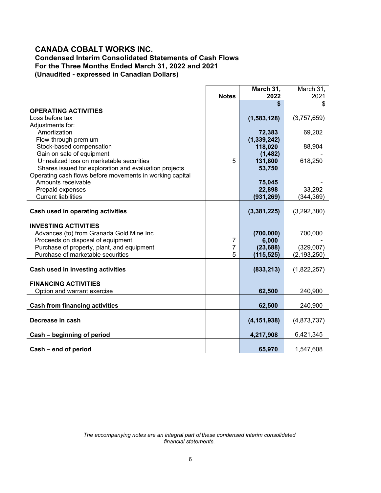### **CANADA COBALT WORKS INC. Condensed Interim Consolidated Statements of Cash Flows For the Three Months Ended March 31, 2022 and 2021 (Unaudited - expressed in Canadian Dollars)**

|                                                                                 |              | March 31,          | March 31,     |
|---------------------------------------------------------------------------------|--------------|--------------------|---------------|
|                                                                                 | <b>Notes</b> | 2022               | 2021          |
|                                                                                 |              | \$                 | \$            |
| <b>OPERATING ACTIVITIES</b>                                                     |              |                    |               |
| Loss before tax                                                                 |              | (1,583,128)        | (3,757,659)   |
| Adjustments for:                                                                |              |                    |               |
| Amortization                                                                    |              | 72,383             | 69,202        |
| Flow-through premium                                                            |              | (1, 339, 242)      |               |
| Stock-based compensation                                                        |              | 118,020            | 88,904        |
| Gain on sale of equipment                                                       |              | (1, 482)           |               |
| Unrealized loss on marketable securities                                        | 5            | 131,800            | 618,250       |
| Shares issued for exploration and evaluation projects                           |              | 53,750             |               |
| Operating cash flows before movements in working capital                        |              |                    |               |
| Amounts receivable                                                              |              | 75,045             |               |
| Prepaid expenses                                                                |              | 22,898             | 33,292        |
| <b>Current liabilities</b>                                                      |              | (931, 269)         | (344,369)     |
|                                                                                 |              |                    |               |
| Cash used in operating activities                                               |              | (3,381,225)        | (3,292,380)   |
| <b>INVESTING ACTIVITIES</b>                                                     |              |                    |               |
|                                                                                 |              |                    |               |
| Advances (to) from Granada Gold Mine Inc.                                       |              | (700,000)<br>6,000 | 700,000       |
| Proceeds on disposal of equipment                                               | 7<br>7       |                    |               |
| Purchase of property, plant, and equipment<br>Purchase of marketable securities |              | (23, 688)          | (329,007)     |
|                                                                                 | 5            | (115, 525)         | (2, 193, 250) |
| Cash used in investing activities                                               |              | (833, 213)         | (1,822,257)   |
|                                                                                 |              |                    |               |
| <b>FINANCING ACTIVITIES</b>                                                     |              |                    |               |
| Option and warrant exercise                                                     |              | 62,500             | 240,900       |
|                                                                                 |              |                    |               |
| <b>Cash from financing activities</b>                                           |              | 62,500             | 240,900       |
| Decrease in cash                                                                |              |                    | (4,873,737)   |
|                                                                                 |              | (4, 151, 938)      |               |
| Cash - beginning of period                                                      |              | 4,217,908          | 6,421,345     |
|                                                                                 |              |                    |               |
| Cash - end of period                                                            |              | 65,970             | 1,547,608     |

*The accompanying notes are an integral part of these condensed interim consolidated financial statements.*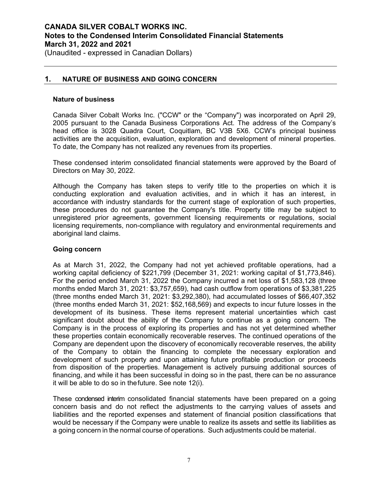(Unaudited - expressed in Canadian Dollars)

### **1. NATURE OF BUSINESS AND GOING CONCERN**

#### **Nature of business**

Canada Silver Cobalt Works Inc. ("CCW" or the "Company") was incorporated on April 29, 2005 pursuant to the Canada Business Corporations Act. The address of the Company's head office is 3028 Quadra Court, Coquitlam, BC V3B 5X6. CCW's principal business activities are the acquisition, evaluation, exploration and development of mineral properties. To date, the Company has not realized any revenues from its properties.

These condensed interim consolidated financial statements were approved by the Board of Directors on May 30, 2022.

Although the Company has taken steps to verify title to the properties on which it is conducting exploration and evaluation activities, and in which it has an interest, in accordance with industry standards for the current stage of exploration of such properties, these procedures do not guarantee the Company's title. Property title may be subject to unregistered prior agreements, government licensing requirements or regulations, social licensing requirements, non-compliance with regulatory and environmental requirements and aboriginal land claims.

#### **Going concern**

As at March 31, 2022, the Company had not yet achieved profitable operations, had a working capital deficiency of \$221,799 (December 31, 2021: working capital of \$1,773,846). For the period ended March 31, 2022 the Company incurred a net loss of \$1,583,128 (three months ended March 31, 2021: \$3,757,659), had cash outflow from operations of \$3,381,225 (three months ended March 31, 2021: \$3,292,380), had accumulated losses of \$66,407,352 (three months ended March 31, 2021: \$52,168,569) and expects to incur future losses in the development of its business. These items represent material uncertainties which cast significant doubt about the ability of the Company to continue as a going concern. The Company is in the process of exploring its properties and has not yet determined whether these properties contain economically recoverable reserves. The continued operations of the Company are dependent upon the discovery of economically recoverable reserves, the ability of the Company to obtain the financing to complete the necessary exploration and development of such property and upon attaining future profitable production or proceeds from disposition of the properties. Management is actively pursuing additional sources of financing, and while it has been successful in doing so in the past, there can be no assurance it will be able to do so in the future. See note 12(i).

These condensed interim consolidated financial statements have been prepared on a going concern basis and do not reflect the adjustments to the carrying values of assets and liabilities and the reported expenses and statement of financial position classifications that would be necessary if the Company were unable to realize its assets and settle its liabilities as a going concern in the normal course of operations. Such adjustments could be material.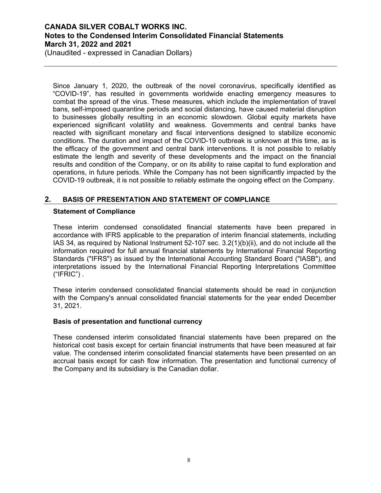(Unaudited - expressed in Canadian Dollars)

Since January 1, 2020, the outbreak of the novel coronavirus, specifically identified as "COVID-19", has resulted in governments worldwide enacting emergency measures to combat the spread of the virus. These measures, which include the implementation of travel bans, self-imposed quarantine periods and social distancing, have caused material disruption to businesses globally resulting in an economic slowdown. Global equity markets have experienced significant volatility and weakness. Governments and central banks have reacted with significant monetary and fiscal interventions designed to stabilize economic conditions. The duration and impact of the COVID-19 outbreak is unknown at this time, as is the efficacy of the government and central bank interventions. It is not possible to reliably estimate the length and severity of these developments and the impact on the financial results and condition of the Company, or on its ability to raise capital to fund exploration and operations, in future periods. While the Company has not been significantly impacted by the COVID-19 outbreak, it is not possible to reliably estimate the ongoing effect on the Company.

### **2. BASIS OF PRESENTATION AND STATEMENT OF COMPLIANCE**

### **Statement of Compliance**

These interim condensed consolidated financial statements have been prepared in accordance with IFRS applicable to the preparation of interim financial statements, including IAS 34, as required by National Instrument 52-107 sec. 3.2(1)(b)(ii), and do not include all the information required for full annual financial statements by International Financial Reporting Standards ("IFRS") as issued by the International Accounting Standard Board ("IASB"), and interpretations issued by the International Financial Reporting Interpretations Committee  $("IFRIC")$ .

These interim condensed consolidated financial statements should be read in conjunction with the Company's annual consolidated financial statements for the year ended December 31, 2021.

### **Basis of presentation and functional currency**

These condensed interim consolidated financial statements have been prepared on the historical cost basis except for certain financial instruments that have been measured at fair value. The condensed interim consolidated financial statements have been presented on an accrual basis except for cash flow information. The presentation and functional currency of the Company and its subsidiary is the Canadian dollar.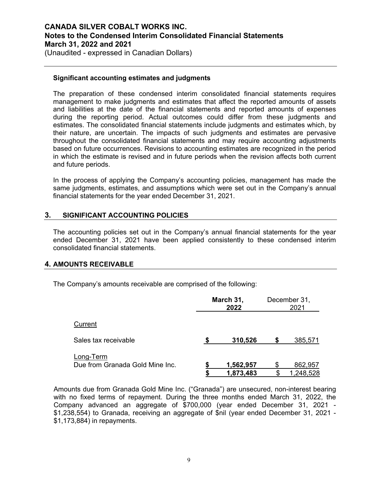(Unaudited - expressed in Canadian Dollars)

### **Significant accounting estimates and judgments**

The preparation of these condensed interim consolidated financial statements requires management to make judgments and estimates that affect the reported amounts of assets and liabilities at the date of the financial statements and reported amounts of expenses during the reporting period. Actual outcomes could differ from these judgments and estimates. The consolidated financial statements include judgments and estimates which, by their nature, are uncertain. The impacts of such judgments and estimates are pervasive throughout the consolidated financial statements and may require accounting adjustments based on future occurrences. Revisions to accounting estimates are recognized in the period in which the estimate is revised and in future periods when the revision affects both current and future periods.

In the process of applying the Company's accounting policies, management has made the same judgments, estimates, and assumptions which were set out in the Company's annual financial statements for the year ended December 31, 2021.

### **3. SIGNIFICANT ACCOUNTING POLICIES**

The accounting policies set out in the Company's annual financial statements for the year ended December 31, 2021 have been applied consistently to these condensed interim consolidated financial statements.

### **4. AMOUNTS RECEIVABLE**

The Company's amounts receivable are comprised of the following:

|                                              | March 31,<br>2022      |  | December 31,<br>2021 |  |
|----------------------------------------------|------------------------|--|----------------------|--|
| Current                                      |                        |  |                      |  |
| Sales tax receivable                         | 310,526                |  | 385,571              |  |
| Long-Term<br>Due from Granada Gold Mine Inc. | 1,562,957<br>1,873,483 |  | 862,957<br>1,248,528 |  |

Amounts due from Granada Gold Mine Inc. ("Granada") are unsecured, non-interest bearing with no fixed terms of repayment. During the three months ended March 31, 2022, the Company advanced an aggregate of \$700,000 (year ended December 31, 2021 - \$1,238,554) to Granada, receiving an aggregate of \$nil (year ended December 31, 2021 - \$1,173,884) in repayments.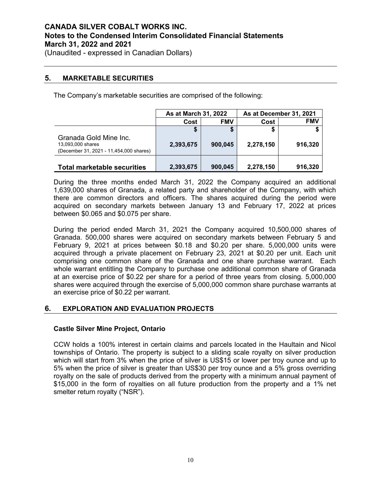(Unaudited - expressed in Canadian Dollars)

### **5. MARKETABLE SECURITIES**

The Company's marketable securities are comprised of the following:

|                                                                                        | As at March 31, 2022 |            |           | As at December 31, 2021 |
|----------------------------------------------------------------------------------------|----------------------|------------|-----------|-------------------------|
|                                                                                        | Cost                 | <b>FMV</b> | Cost      | <b>FMV</b>              |
|                                                                                        |                      | æ          |           |                         |
| Granada Gold Mine Inc.<br>13,093,000 shares<br>(December 31, 2021 - 11,454,000 shares) | 2,393,675            | 900.045    | 2,278,150 | 916,320                 |
| <b>Total marketable securities</b>                                                     | 2,393,675            | 900,045    | 2,278,150 | 916,320                 |

During the three months ended March 31, 2022 the Company acquired an additional 1,639,000 shares of Granada, a related party and shareholder of the Company, with which there are common directors and officers. The shares acquired during the period were acquired on secondary markets between January 13 and February 17, 2022 at prices between \$0.065 and \$0.075 per share.

During the period ended March 31, 2021 the Company acquired 10,500,000 shares of Granada. 500,000 shares were acquired on secondary markets between February 5 and February 9, 2021 at prices between \$0.18 and \$0.20 per share. 5,000,000 units were acquired through a private placement on February 23, 2021 at \$0.20 per unit. Each unit comprising one common share of the Granada and one share purchase warrant. Each whole warrant entitling the Company to purchase one additional common share of Granada at an exercise price of \$0.22 per share for a period of three years from closing. 5,000,000 shares were acquired through the exercise of 5,000,000 common share purchase warrants at an exercise price of \$0.22 per warrant.

### **6. EXPLORATION AND EVALUATION PROJECTS**

### **Castle Silver Mine Project, Ontario**

CCW holds a 100% interest in certain claims and parcels located in the Haultain and Nicol townships of Ontario. The property is subject to a sliding scale royalty on silver production which will start from 3% when the price of silver is US\$15 or lower per troy ounce and up to 5% when the price of silver is greater than US\$30 per troy ounce and a 5% gross overriding royalty on the sale of products derived from the property with a minimum annual payment of \$15,000 in the form of royalties on all future production from the property and a 1% net smelter return royalty ("NSR").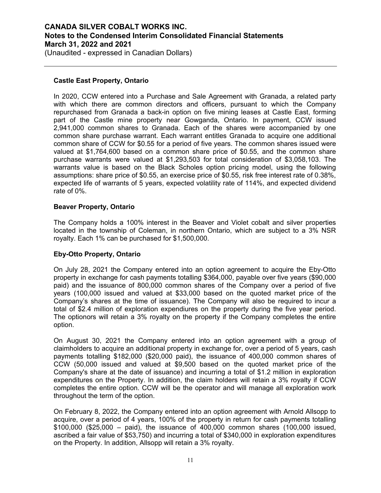(Unaudited - expressed in Canadian Dollars)

### **Castle East Property, Ontario**

In 2020, CCW entered into a Purchase and Sale Agreement with Granada, a related party with which there are common directors and officers, pursuant to which the Company repurchased from Granada a back-in option on five mining leases at Castle East, forming part of the Castle mine property near Gowganda, Ontario. In payment, CCW issued 2,941,000 common shares to Granada. Each of the shares were accompanied by one common share purchase warrant. Each warrant entitles Granada to acquire one additional common share of CCW for \$0.55 for a period of five years. The common shares issued were valued at \$1,764,600 based on a common share price of \$0.55, and the common share purchase warrants were valued at \$1,293,503 for total consideration of \$3,058,103. The warrants value is based on the Black Scholes option pricing model, using the following assumptions: share price of \$0.55, an exercise price of \$0.55, risk free interest rate of 0.38%, expected life of warrants of 5 years, expected volatility rate of 114%, and expected dividend rate of 0%.

### **Beaver Property, Ontario**

The Company holds a 100% interest in the Beaver and Violet cobalt and silver properties located in the township of Coleman, in northern Ontario, which are subject to a 3% NSR royalty. Each 1% can be purchased for \$1,500,000.

### **Eby-Otto Property, Ontario**

On July 28, 2021 the Company entered into an option agreement to acquire the Eby-Otto property in exchange for cash payments totalling \$364,000, payable over five years (\$90,000 paid) and the issuance of 800,000 common shares of the Company over a period of five years (100,000 issued and valued at \$33,000 based on the quoted market price of the Company's shares at the time of issuance). The Company will also be required to incur a total of \$2.4 million of exploration expendiures on the property during the five year period. The optionors will retain a 3% royalty on the property if the Company completes the entire option.

On August 30, 2021 the Company entered into an option agreement with a group of claimholders to acquire an additional property in exchange for, over a period of 5 years, cash payments totalling \$182,000 (\$20,000 paid), the issuance of 400,000 common shares of CCW (50,000 issued and valued at \$9,500 based on the quoted market price of the Company's share at the date of issuance) and incurring a total of \$1.2 million in exploration expenditures on the Property. In addition, the claim holders will retain a 3% royalty if CCW completes the entire option. CCW will be the operator and will manage all exploration work throughout the term of the option.

On February 8, 2022, the Company entered into an option agreement with Arnold Allsopp to acquire, over a period of 4 years, 100% of the property in return for cash payments totalling \$100,000 (\$25,000 – paid), the issuance of 400,000 common shares (100,000 issued, ascribed a fair value of \$53,750) and incurring a total of \$340,000 in exploration expenditures on the Property. In addition, Allsopp will retain a 3% royalty.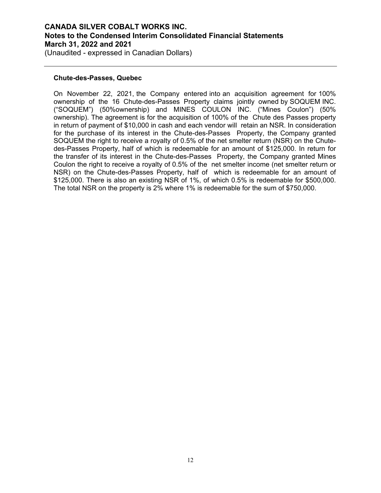(Unaudited - expressed in Canadian Dollars)

#### **Chute-des-Passes, Quebec**

On November 22, 2021, the Company entered into an acquisition agreement for 100% ownership of the 16 Chute-des-Passes Property claims jointly owned by SOQUEM INC. ("SOQUEM") (50%ownership) and MINES COULON INC. ("Mines Coulon") (50% ownership). The agreement is for the acquisition of 100% of the Chute des Passes property in return of payment of \$10,000 in cash and each vendor will retain an NSR. In consideration for the purchase of its interest in the Chute-des-Passes Property, the Company granted SOQUEM the right to receive a royalty of 0.5% of the net smelter return (NSR) on the Chutedes-Passes Property, half of which is redeemable for an amount of \$125,000. In return for the transfer of its interest in the Chute-des-Passes Property, the Company granted Mines Coulon the right to receive a royalty of 0.5% of the net smelter income (net smelter return or NSR) on the Chute-des-Passes Property, half of which is redeemable for an amount of \$125,000. There is also an existing NSR of 1%, of which 0.5% is redeemable for \$500,000. The total NSR on the property is 2% where 1% is redeemable for the sum of \$750,000.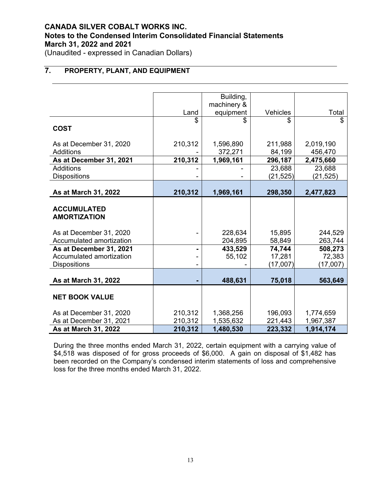(Unaudited - expressed in Canadian Dollars)

# **7. PROPERTY, PLANT, AND EQUIPMENT**

|                          |         | Building,   |           |           |
|--------------------------|---------|-------------|-----------|-----------|
|                          |         | machinery & |           |           |
|                          | Land    | equipment   | Vehicles  | Total     |
|                          | \$      | \$          | \$        | \$        |
| <b>COST</b>              |         |             |           |           |
|                          |         |             |           |           |
| As at December 31, 2020  | 210,312 | 1,596,890   | 211,988   | 2,019,190 |
| <b>Additions</b>         |         | 372,271     | 84,199    | 456,470   |
| As at December 31, 2021  | 210,312 | 1,969,161   | 296,187   | 2,475,660 |
| <b>Additions</b>         |         |             | 23,688    | 23,688    |
| <b>Dispositions</b>      |         |             | (21, 525) | (21, 525) |
|                          |         |             |           |           |
| As at March 31, 2022     | 210,312 | 1,969,161   | 298,350   | 2,477,823 |
|                          |         |             |           |           |
| <b>ACCUMULATED</b>       |         |             |           |           |
| <b>AMORTIZATION</b>      |         |             |           |           |
|                          |         |             |           |           |
| As at December 31, 2020  |         | 228,634     | 15,895    | 244,529   |
| Accumulated amortization |         | 204,895     | 58,849    | 263,744   |
| As at December 31, 2021  |         | 433,529     | 74,744    | 508,273   |
| Accumulated amortization |         | 55,102      | 17,281    | 72,383    |
| <b>Dispositions</b>      |         |             | (17,007)  | (17,007)  |
|                          |         |             |           |           |
| As at March 31, 2022     |         | 488,631     | 75,018    | 563,649   |
|                          |         |             |           |           |
| <b>NET BOOK VALUE</b>    |         |             |           |           |
|                          |         |             |           |           |
| As at December 31, 2020  | 210,312 | 1,368,256   | 196,093   | 1,774,659 |
| As at December 31, 2021  | 210,312 | 1,535,632   | 221,443   | 1,967,387 |
| As at March 31, 2022     | 210,312 | 1,480,530   | 223,332   | 1,914,174 |

During the three months ended March 31, 2022, certain equipment with a carrying value of \$4,518 was disposed of for gross proceeds of \$6,000. A gain on disposal of \$1,482 has been recorded on the Company's condensed interim statements of loss and comprehensive loss for the three months ended March 31, 2022.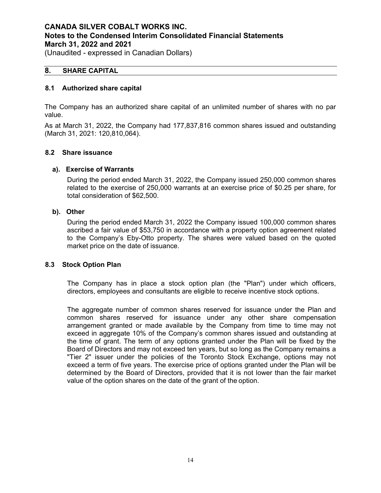(Unaudited - expressed in Canadian Dollars)

### **8. SHARE CAPITAL**

### **8.1 Authorized share capital**

The Company has an authorized share capital of an unlimited number of shares with no par value.

As at March 31, 2022, the Company had 177,837,816 common shares issued and outstanding (March 31, 2021: 120,810,064).

#### **8.2 Share issuance**

#### **a). Exercise of Warrants**

During the period ended March 31, 2022, the Company issued 250,000 common shares related to the exercise of 250,000 warrants at an exercise price of \$0.25 per share, for total consideration of \$62,500.

#### **b). Other**

During the period ended March 31, 2022 the Company issued 100,000 common shares ascribed a fair value of \$53,750 in accordance with a property option agreement related to the Company's Eby-Otto property. The shares were valued based on the quoted market price on the date of issuance.

#### **8.3 Stock Option Plan**

The Company has in place a stock option plan (the "Plan") under which officers, directors, employees and consultants are eligible to receive incentive stock options.

The aggregate number of common shares reserved for issuance under the Plan and common shares reserved for issuance under any other share compensation arrangement granted or made available by the Company from time to time may not exceed in aggregate 10% of the Company's common shares issued and outstanding at the time of grant. The term of any options granted under the Plan will be fixed by the Board of Directors and may not exceed ten years, but so long as the Company remains a "Tier 2" issuer under the policies of the Toronto Stock Exchange, options may not exceed a term of five years. The exercise price of options granted under the Plan will be determined by the Board of Directors, provided that it is not lower than the fair market value of the option shares on the date of the grant of the option.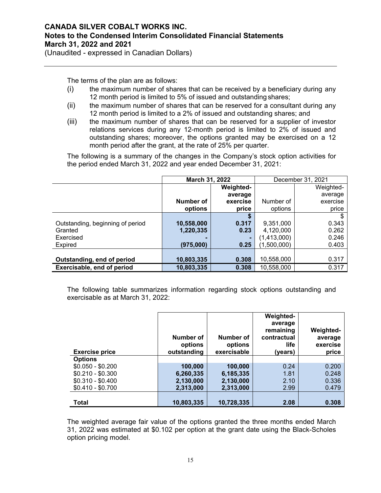(Unaudited - expressed in Canadian Dollars)

The terms of the plan are as follows:

- (i) the maximum number of shares that can be received by a beneficiary during any 12 month period is limited to 5% of issued and outstanding shares;
- (ii) the maximum number of shares that can be reserved for a consultant during any 12 month period is limited to a 2% of issued and outstanding shares; and
- (iii) the maximum number of shares that can be reserved for a supplier of investor relations services during any 12-month period is limited to 2% of issued and outstanding shares; moreover, the options granted may be exercised on a 12 month period after the grant, at the rate of 25% per quarter.

The following is a summary of the changes in the Company's stock option activities for the period ended March 31, 2022 and year ended December 31, 2021:

|                                  | March 31, 2022 |                  | December 31, 2021 |           |
|----------------------------------|----------------|------------------|-------------------|-----------|
|                                  |                | <b>Weighted-</b> |                   | Weighted- |
|                                  |                | average          |                   | average   |
|                                  | Number of      | exercise         | Number of         | exercise  |
|                                  | options        | price            | options           | price     |
|                                  |                |                  |                   | \$        |
| Outstanding, beginning of period | 10,558,000     | 0.317            | 9,351,000         | 0.343     |
| Granted                          | 1,220,335      | 0.23             | 4,120,000         | 0.262     |
| Exercised                        |                | ۰.               | (1,413,000)       | 0.246     |
| <b>Expired</b>                   | (975,000)      | 0.25             | (1,500,000)       | 0.403     |
|                                  |                |                  |                   |           |
| Outstanding, end of period       | 10,803,335     | 0.308            | 10,558,000        | 0.317     |
| Exercisable, end of period       | 10,803,335     | 0.308            | 10,558,000        | 0.317     |

The following table summarizes information regarding stock options outstanding and exercisable as at March 31, 2022:

| <b>Exercise price</b> | Number of<br>options<br>outstanding | Number of<br>options<br>exercisable | <b>Weighted-</b><br>average<br>remaining<br>contractual<br>life<br>(years) | <b>Weighted-</b><br>average<br>exercise<br>price |
|-----------------------|-------------------------------------|-------------------------------------|----------------------------------------------------------------------------|--------------------------------------------------|
| <b>Options</b>        |                                     |                                     |                                                                            |                                                  |
| $$0.050 - $0.200$     | 100,000                             | 100,000                             | 0.24                                                                       | 0.200                                            |
| $$0.210 - $0.300$     | 6,260,335                           | 6,185,335                           | 1.81                                                                       | 0.248                                            |
| $$0.310 - $0.400$     | 2,130,000                           | 2,130,000                           | 2.10                                                                       | 0.336                                            |
| $$0.410 - $0.700$     | 2,313,000                           | 2,313,000                           | 2.99                                                                       | 0.479                                            |
|                       |                                     |                                     |                                                                            |                                                  |
| <b>Total</b>          | 10,803,335                          | 10,728,335                          | 2.08                                                                       | 0.308                                            |

The weighted average fair value of the options granted the three months ended March 31, 2022 was estimated at \$0.102 per option at the grant date using the Black-Scholes option pricing model.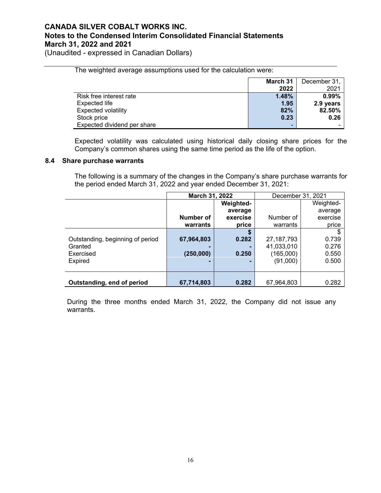The weighted average assumptions used for the calculation were:

(Unaudited - expressed in Canadian Dollars)

|                             | March 31                 | December 31, |
|-----------------------------|--------------------------|--------------|
|                             | 2022                     | 2021         |
| Risk free interest rate     | 1.48%                    | 0.99%        |
| Expected life               | 1.95                     | 2.9 years    |
| <b>Expected volatility</b>  | 82%                      | 82.50%       |
| Stock price                 | 0.23                     | 0.26         |
| Expected dividend per share | $\overline{\phantom{a}}$ |              |

Expected volatility was calculated using historical daily closing share prices for the Company's common shares using the same time period as the life of the option.

#### **8.4 Share purchase warrants**

The following is a summary of the changes in the Company's share purchase warrants for the period ended March 31, 2022 and year ended December 31, 2021:

|                                  | March 31, 2022 |                  | December 31, 2021 |           |
|----------------------------------|----------------|------------------|-------------------|-----------|
|                                  |                | <b>Weighted-</b> |                   | Weighted- |
|                                  |                | average          |                   | average   |
|                                  | Number of      | exercise         | Number of         | exercise  |
|                                  | warrants       | price            | warrants          | price     |
|                                  |                | S                |                   | S         |
| Outstanding, beginning of period | 67,964,803     | 0.282            | 27, 187, 793      | 0.739     |
| Granted                          |                |                  | 41,033,010        | 0.276     |
| Exercised                        | (250,000)      | 0.250            | (165,000)         | 0.550     |
| <b>Expired</b>                   |                |                  | (91,000)          | 0.500     |
|                                  |                |                  |                   |           |
|                                  |                |                  |                   |           |
| Outstanding, end of period       | 67,714,803     | 0.282            | 67,964,803        | 0.282     |

During the three months ended March 31, 2022, the Company did not issue any warrants.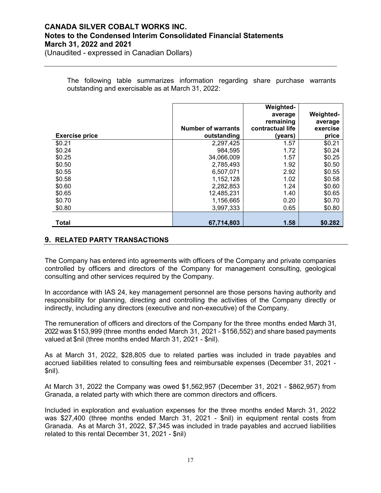(Unaudited - expressed in Canadian Dollars)

The following table summarizes information regarding share purchase warrants outstanding and exercisable as at March 31, 2022:

|                       |                           | <b>Weighted-</b> |                  |
|-----------------------|---------------------------|------------------|------------------|
|                       |                           | average          | <b>Weighted-</b> |
|                       |                           | remaining        | average          |
|                       | <b>Number of warrants</b> | contractual life | exercise         |
| <b>Exercise price</b> | outstanding               | (years)          | price            |
| \$0.21                | 2,297,425                 | 1.57             | \$0.21           |
| \$0.24                | 984,595                   | 1.72             | \$0.24           |
| \$0.25                | 34,066,009                | 1.57             | \$0.25           |
| \$0.50                | 2,785,493                 | 1.92             | \$0.50           |
| \$0.55                | 6,507,071                 | 2.92             | \$0.55           |
| \$0.58                | 1,152,128                 | 1.02             | \$0.58           |
| \$0.60                | 2,282,853                 | 1.24             | \$0.60           |
| \$0.65                | 12,485,231                | 1.40             | \$0.65           |
| \$0.70                | 1,156,665                 | 0.20             | \$0.70           |
| \$0.80                | 3,997,333                 | 0.65             | \$0.80           |
|                       |                           |                  |                  |
| <b>Total</b>          | 67,714,803                | 1.58             | \$0.282          |

### **9. RELATED PARTY TRANSACTIONS**

The Company has entered into agreements with officers of the Company and private companies controlled by officers and directors of the Company for management consulting, geological consulting and other services required by the Company.

In accordance with IAS 24, key management personnel are those persons having authority and responsibility for planning, directing and controlling the activities of the Company directly or indirectly, including any directors (executive and non-executive) of the Company.

The remuneration of officers and directors of the Company for the three months ended March 31, 2022 was \$153,999 (three months ended March 31, 2021 - \$156,552) and share based payments valued at \$nil (three months ended March 31, 2021 - \$nil).

As at March 31, 2022, \$28,805 due to related parties was included in trade payables and accrued liabilities related to consulting fees and reimbursable expenses (December 31, 2021 - \$nil).

At March 31, 2022 the Company was owed \$1,562,957 (December 31, 2021 - \$862,957) from Granada, a related party with which there are common directors and officers.

Included in exploration and evaluation expenses for the three months ended March 31, 2022 was \$27,400 (three months ended March 31, 2021 - \$nil) in equipment rental costs from Granada. As at March 31, 2022, \$7,345 was included in trade payables and accrued liabilities related to this rental December 31, 2021 - \$nil)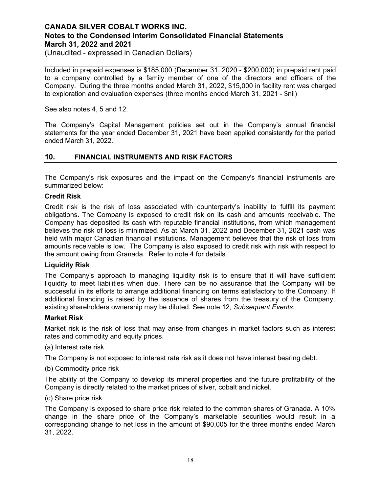(Unaudited - expressed in Canadian Dollars)

Included in prepaid expenses is \$185,000 (December 31, 2020 - \$200,000) in prepaid rent paid to a company controlled by a family member of one of the directors and officers of the Company. During the three months ended March 31, 2022, \$15,000 in facility rent was charged to exploration and evaluation expenses (three months ended March 31, 2021 - \$nil)

See also notes 4, 5 and 12.

The Company's Capital Management policies set out in the Company's annual financial statements for the year ended December 31, 2021 have been applied consistently for the period ended March 31, 2022.

### **10. FINANCIAL INSTRUMENTS AND RISK FACTORS**

The Company's risk exposures and the impact on the Company's financial instruments are summarized below:

#### **Credit Risk**

Credit risk is the risk of loss associated with counterparty's inability to fulfill its payment obligations. The Company is exposed to credit risk on its cash and amounts receivable. The Company has deposited its cash with reputable financial institutions, from which management believes the risk of loss is minimized. As at March 31, 2022 and December 31, 2021 cash was held with major Canadian financial institutions. Management believes that the risk of loss from amounts receivable is low. The Company is also exposed to credit risk with risk with respect to the amount owing from Granada. Refer to note 4 for details.

#### **Liquidity Risk**

The Company's approach to managing liquidity risk is to ensure that it will have sufficient liquidity to meet liabilities when due. There can be no assurance that the Company will be successful in its efforts to arrange additional financing on terms satisfactory to the Company. If additional financing is raised by the issuance of shares from the treasury of the Company, existing shareholders ownership may be diluted. See note 12, *Subsequent Events*.

#### **Market Risk**

Market risk is the risk of loss that may arise from changes in market factors such as interest rates and commodity and equity prices.

(a) Interest rate risk

The Company is not exposed to interest rate risk as it does not have interest bearing debt.

#### (b) Commodity price risk

The ability of the Company to develop its mineral properties and the future profitability of the Company is directly related to the market prices of silver, cobalt and nickel.

#### (c) Share price risk

The Company is exposed to share price risk related to the common shares of Granada. A 10% change in the share price of the Company's marketable securities would result in a corresponding change to net loss in the amount of \$90,005 for the three months ended March 31, 2022.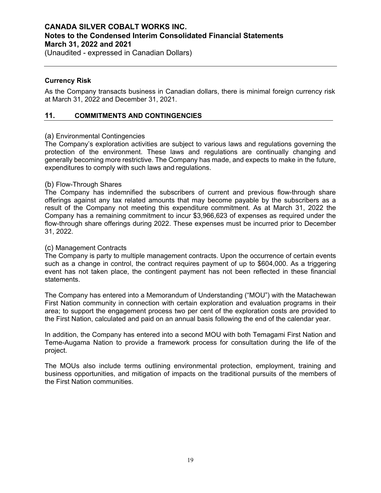(Unaudited - expressed in Canadian Dollars)

### **Currency Risk**

As the Company transacts business in Canadian dollars, there is minimal foreign currency risk at March 31, 2022 and December 31, 2021.

### **11. COMMITMENTS AND CONTINGENCIES**

### (a) Environmental Contingencies

The Company's exploration activities are subject to various laws and regulations governing the protection of the environment. These laws and regulations are continually changing and generally becoming more restrictive. The Company has made, and expects to make in the future, expenditures to comply with such laws and regulations.

### (b) Flow-Through Shares

The Company has indemnified the subscribers of current and previous flow-through share offerings against any tax related amounts that may become payable by the subscribers as a result of the Company not meeting this expenditure commitment. As at March 31, 2022 the Company has a remaining commitment to incur \$3,966,623 of expenses as required under the flow-through share offerings during 2022. These expenses must be incurred prior to December 31, 2022.

### (c) Management Contracts

The Company is party to multiple management contracts. Upon the occurrence of certain events such as a change in control, the contract requires payment of up to \$604,000. As a triggering event has not taken place, the contingent payment has not been reflected in these financial statements.

The Company has entered into a Memorandum of Understanding ("MOU") with the Matachewan First Nation community in connection with certain exploration and evaluation programs in their area; to support the engagement process two per cent of the exploration costs are provided to the First Nation, calculated and paid on an annual basis following the end of the calendar year.

In addition, the Company has entered into a second MOU with both Temagami First Nation and Teme-Augama Nation to provide a framework process for consultation during the life of the project.

The MOUs also include terms outlining environmental protection, employment, training and business opportunities, and mitigation of impacts on the traditional pursuits of the members of the First Nation communities.